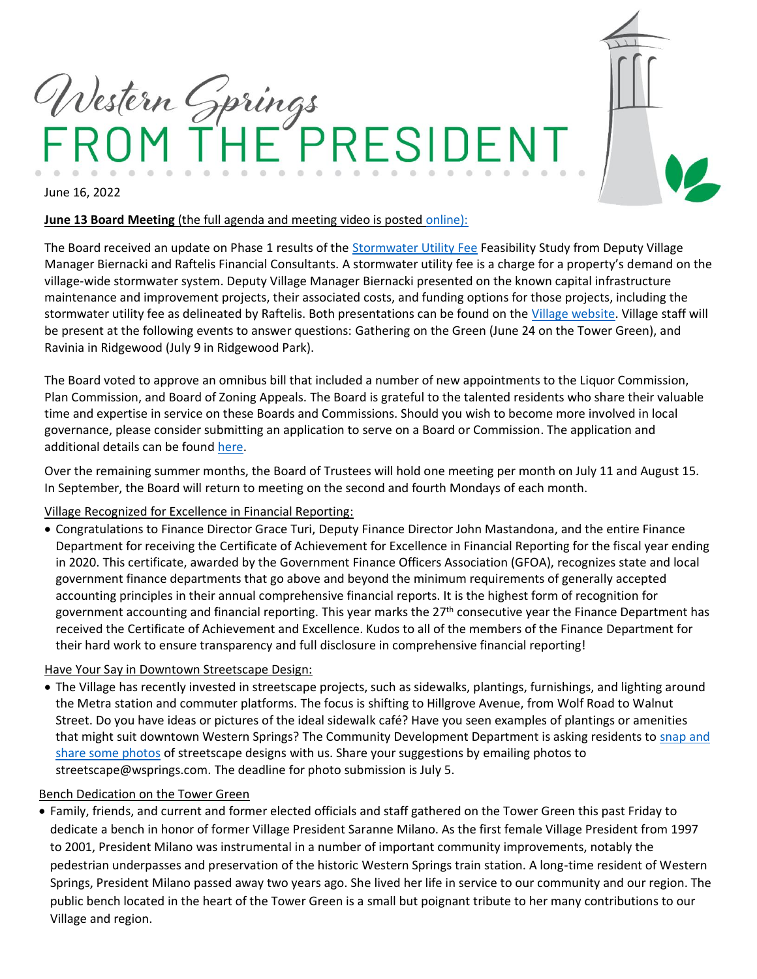

### **June 13 Board Meeting** (the full agenda and meeting video is posted [online\)](https://wsprings.com/AgendaCenter):

The Board received an update on Phase 1 results of the [Stormwater Utility Fee](https://wsprings.com/748/Stormwater-Utility-Fee) Feasibility Study from Deputy Village Manager Biernacki and Raftelis Financial Consultants. A stormwater utility fee is a charge for a property's demand on the village-wide stormwater system. Deputy Village Manager Biernacki presented on the known capital infrastructure maintenance and improvement projects, their associated costs, and funding options for those projects, including the stormwater utility fee as delineated by Raftelis. Both presentations can be found on the [Village website.](https://wsprings.com/748/Stormwater-Utility-Fee) Village staff will be present at the following events to answer questions: Gathering on the Green (June 24 on the Tower Green), and Ravinia in Ridgewood (July 9 in Ridgewood Park).

The Board voted to approve an omnibus bill that included a number of new appointments to the Liquor Commission, Plan Commission, and Board of Zoning Appeals. The Board is grateful to the talented residents who share their valuable time and expertise in service on these Boards and Commissions. Should you wish to become more involved in local governance, please consider submitting an application to serve on a Board or Commission. The application and additional details can be found [here.](https://wsprings.com/208/Advisory-Boards-Commissions)

Over the remaining summer months, the Board of Trustees will hold one meeting per month on July 11 and August 15. In September, the Board will return to meeting on the second and fourth Mondays of each month.

# Village Recognized for Excellence in Financial Reporting:

• Congratulations to Finance Director Grace Turi, Deputy Finance Director John Mastandona, and the entire Finance Department for receiving the Certificate of Achievement for Excellence in Financial Reporting for the fiscal year ending in 2020. This certificate, awarded by the Government Finance Officers Association (GFOA), recognizes state and local government finance departments that go above and beyond the minimum requirements of generally accepted accounting principles in their annual comprehensive financial reports. It is the highest form of recognition for government accounting and financial reporting. This year marks the 27<sup>th</sup> consecutive year the Finance Department has received the Certificate of Achievement and Excellence. Kudos to all of the members of the Finance Department for their hard work to ensure transparency and full disclosure in comprehensive financial reporting!

#### Have Your Say in Downtown Streetscape Design:

• The Village has recently invested in streetscape projects, such as sidewalks, plantings, furnishings, and lighting around the Metra station and commuter platforms. The focus is shifting to Hillgrove Avenue, from Wolf Road to Walnut Street. Do you have ideas or pictures of the ideal sidewalk café? Have you seen examples of plantings or amenities that might suit downtown Western Springs? The Community Development Department is asking residents to snap and [share some photos](https://wsprings.com/CivicAlerts.aspx?AID=2337) of streetscape designs with us. Share your suggestions by emailing photos to streetscape@wsprings.com. The deadline for photo submission is July 5.

#### Bench Dedication on the Tower Green

• Family, friends, and current and former elected officials and staff gathered on the Tower Green this past Friday to dedicate a bench in honor of former Village President Saranne Milano. As the first female Village President from 1997 to 2001, President Milano was instrumental in a number of important community improvements, notably the pedestrian underpasses and preservation of the historic Western Springs train station. A long-time resident of Western Springs, President Milano passed away two years ago. She lived her life in service to our community and our region. The public bench located in the heart of the Tower Green is a small but poignant tribute to her many contributions to our Village and region.